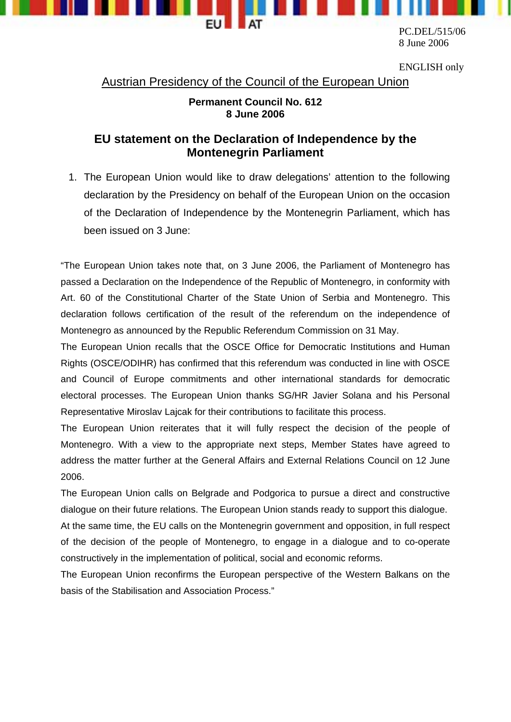

8 June 2006

ENGLISH only

Austrian Presidency of the Council of the European Union

## **Permanent Council No. 612 8 June 2006**

## **EU statement on the Declaration of Independence by the Montenegrin Parliament**

1. The European Union would like to draw delegations' attention to the following declaration by the Presidency on behalf of the European Union on the occasion of the Declaration of Independence by the Montenegrin Parliament, which has been issued on 3 June:

"The European Union takes note that, on 3 June 2006, the Parliament of Montenegro has passed a Declaration on the Independence of the Republic of Montenegro, in conformity with Art. 60 of the Constitutional Charter of the State Union of Serbia and Montenegro. This declaration follows certification of the result of the referendum on the independence of Montenegro as announced by the Republic Referendum Commission on 31 May.

The European Union recalls that the OSCE Office for Democratic Institutions and Human Rights (OSCE/ODIHR) has confirmed that this referendum was conducted in line with OSCE and Council of Europe commitments and other international standards for democratic electoral processes. The European Union thanks SG/HR Javier Solana and his Personal Representative Miroslav Lajcak for their contributions to facilitate this process.

The European Union reiterates that it will fully respect the decision of the people of Montenegro. With a view to the appropriate next steps, Member States have agreed to address the matter further at the General Affairs and External Relations Council on 12 June 2006.

The European Union calls on Belgrade and Podgorica to pursue a direct and constructive dialogue on their future relations. The European Union stands ready to support this dialogue.

At the same time, the EU calls on the Montenegrin government and opposition, in full respect of the decision of the people of Montenegro, to engage in a dialogue and to co-operate constructively in the implementation of political, social and economic reforms.

The European Union reconfirms the European perspective of the Western Balkans on the basis of the Stabilisation and Association Process."